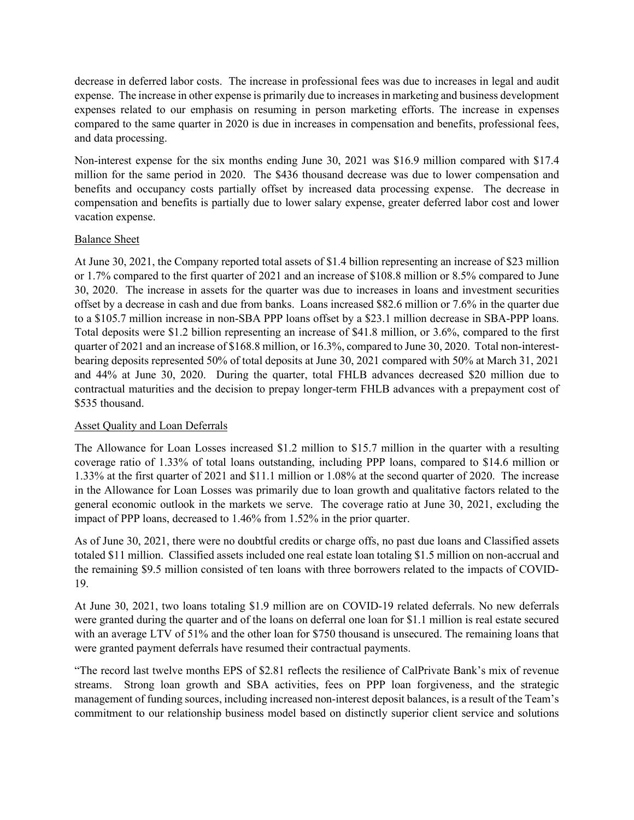decrease in deferred labor costs. The increase in professional fees was due to increases in legal and audit expense. The increase in other expense is primarily due to increases in marketing and business development expenses related to our emphasis on resuming in person marketing efforts. The increase in expenses compared to the same quarter in 2020 is due in increases in compensation and benefits, professional fees, and data processing.

Non-interest expense for the six months ending June 30, 2021 was \$16.9 million compared with \$17.4 million for the same period in 2020. The \$436 thousand decrease was due to lower compensation and benefits and occupancy costs partially offset by increased data processing expense. The decrease in compensation and benefits is partially due to lower salary expense, greater deferred labor cost and lower vacation expense.

# Balance Sheet

At June 30, 2021, the Company reported total assets of \$1.4 billion representing an increase of \$23 million or 1.7% compared to the first quarter of 2021 and an increase of \$108.8 million or 8.5% compared to June 30, 2020. The increase in assets for the quarter was due to increases in loans and investment securities offset by a decrease in cash and due from banks. Loans increased \$82.6 million or 7.6% in the quarter due to a \$105.7 million increase in non-SBA PPP loans offset by a \$23.1 million decrease in SBA-PPP loans. Total deposits were \$1.2 billion representing an increase of \$41.8 million, or 3.6%, compared to the first quarter of 2021 and an increase of \$168.8 million, or 16.3%, compared to June 30, 2020. Total non-interestbearing deposits represented 50% of total deposits at June 30, 2021 compared with 50% at March 31, 2021 and 44% at June 30, 2020. During the quarter, total FHLB advances decreased \$20 million due to contractual maturities and the decision to prepay longer-term FHLB advances with a prepayment cost of \$535 thousand.

# Asset Quality and Loan Deferrals

The Allowance for Loan Losses increased \$1.2 million to \$15.7 million in the quarter with a resulting coverage ratio of 1.33% of total loans outstanding, including PPP loans, compared to \$14.6 million or 1.33% at the first quarter of 2021 and \$11.1 million or 1.08% at the second quarter of 2020. The increase in the Allowance for Loan Losses was primarily due to loan growth and qualitative factors related to the general economic outlook in the markets we serve. The coverage ratio at June 30, 2021, excluding the impact of PPP loans, decreased to 1.46% from 1.52% in the prior quarter.

As of June 30, 2021, there were no doubtful credits or charge offs, no past due loans and Classified assets totaled \$11 million. Classified assets included one real estate loan totaling \$1.5 million on non-accrual and the remaining \$9.5 million consisted of ten loans with three borrowers related to the impacts of COVID-19.

At June 30, 2021, two loans totaling \$1.9 million are on COVID-19 related deferrals. No new deferrals were granted during the quarter and of the loans on deferral one loan for \$1.1 million is real estate secured with an average LTV of 51% and the other loan for \$750 thousand is unsecured. The remaining loans that were granted payment deferrals have resumed their contractual payments.

"The record last twelve months EPS of \$2.81 reflects the resilience of CalPrivate Bank's mix of revenue streams. Strong loan growth and SBA activities, fees on PPP loan forgiveness, and the strategic management of funding sources, including increased non-interest deposit balances, is a result of the Team's commitment to our relationship business model based on distinctly superior client service and solutions